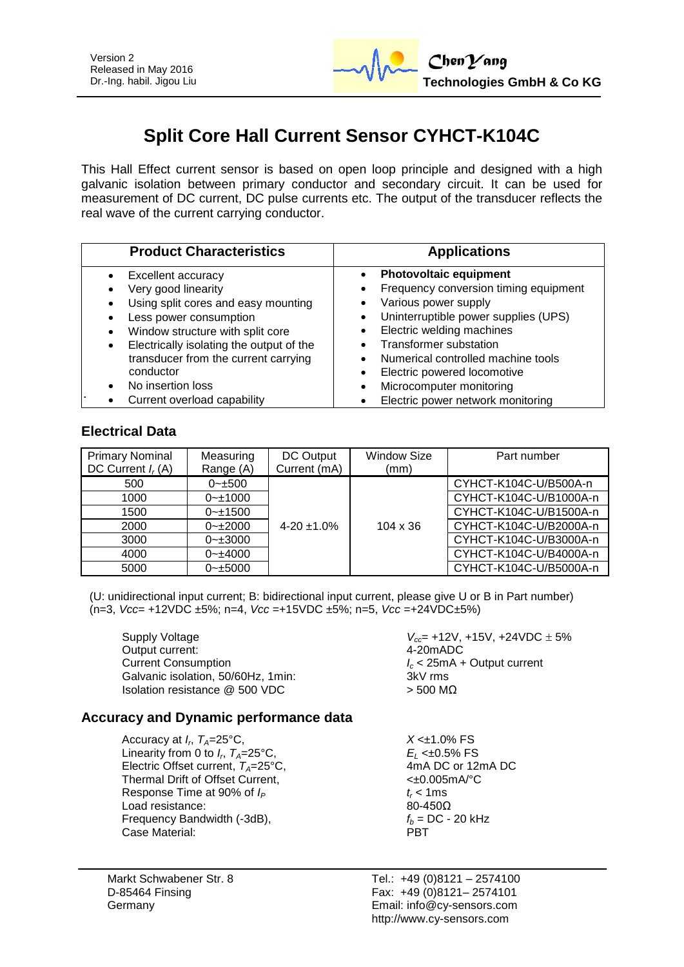

# **Split Core Hall Current Sensor CYHCT-K104C**

This Hall Effect current sensor is based on open loop principle and designed with a high galvanic isolation between primary conductor and secondary circuit. It can be used for measurement of DC current, DC pulse currents etc. The output of the transducer reflects the real wave of the current carrying conductor.

| <b>Product Characteristics</b>                                                                                                                                                                                                                                                                 | <b>Applications</b>                                                                                                                                                                                                                                                                                   |
|------------------------------------------------------------------------------------------------------------------------------------------------------------------------------------------------------------------------------------------------------------------------------------------------|-------------------------------------------------------------------------------------------------------------------------------------------------------------------------------------------------------------------------------------------------------------------------------------------------------|
| Excellent accuracy<br>Very good linearity<br>Using split cores and easy mounting<br>Less power consumption<br>Window structure with split core<br>$\bullet$<br>Electrically isolating the output of the<br>$\bullet$<br>transducer from the current carrying<br>conductor<br>No insertion loss | <b>Photovoltaic equipment</b><br>Frequency conversion timing equipment<br>Various power supply<br>Uninterruptible power supplies (UPS)<br>Electric welding machines<br><b>Transformer substation</b><br>Numerical controlled machine tools<br>Electric powered locomotive<br>Microcomputer monitoring |
| Current overload capability                                                                                                                                                                                                                                                                    | Electric power network monitoring                                                                                                                                                                                                                                                                     |

# **Electrical Data**

| <b>Primary Nominal</b><br>DC Current $I_r(A)$ | Measuring<br>Range (A) | DC Output<br>Current (mA) | <b>Window Size</b><br>(mm) | Part number            |
|-----------------------------------------------|------------------------|---------------------------|----------------------------|------------------------|
| 500                                           | $0 - \pm 500$          |                           |                            | CYHCT-K104C-U/B500A-n  |
| 1000                                          | $0 - 1000$             |                           |                            | CYHCT-K104C-U/B1000A-n |
| 1500                                          | $0 - 1500$             |                           |                            | CYHCT-K104C-U/B1500A-n |
| 2000                                          | $0 - 2000$             | $4 - 20 + 1.0%$           | $104 \times 36$            | CYHCT-K104C-U/B2000A-n |
| 3000                                          | $0 - 3000$             |                           |                            | CYHCT-K104C-U/B3000A-n |
| 4000                                          | $0 - \pm 4000$         |                           |                            | CYHCT-K104C-U/B4000A-n |
| 5000                                          | $0 - \pm 5000$         |                           |                            | CYHCT-K104C-U/B5000A-n |

(U: unidirectional input current; B: bidirectional input current, please give U or B in Part number) (n=3, *Vcc*= +12VDC ±5%; n=4, *Vcc* =+15VDC ±5%; n=5, *Vcc* =+24VDC±5%)

Supply Voltage *V*<sub>cc</sub> = +12V, +15V, +24VDC  $\pm$  5% Output current: 4-20mADC Current Consumption *I<sup>c</sup>* < 25mA + Output current Galvanic isolation, 50/60Hz, 1min; Isolation resistance  $@$  500 VDC  $>$  500 MΩ

# **Accuracy and Dynamic performance data**

Accuracy at  $I_r$ ,  $T_A = 25$ °C, Linearity from 0 to  $I_r$ ,  $T_A = 25^\circ \text{C}$ , Electric Offset current,  $T_A = 25^{\circ}$ C, 4mA DC or 12mA DC or 12mA DC or 12mA DC or 12mA PC Details and the Current. Thermal Drift of Offset Current, Response Time at 90% of  $I_P$  *t<sub>r</sub>* < 1ms Load resistance:  $80-450\Omega$ <br>Frequency Bandwidth (-3dB),  $f_h = DC - 20 \text{ kHz}$ Frequency Bandwidth (-3dB),  $f_b = 1$ <br>Case Material: **PBT** Case Material:

Markt Schwabener Str. 8 D-85464 Finsing Germany

 $X < \pm 1.0\%$  FS *E*<sub>L</sub> <±0.5% FS<br>4mA DC or 12mA DC

Tel.: +49 (0)8121 – 2574100 Fax: +49 (0)8121– 2574101 Email: info@cy-sensors.com http://www.cy-sensors.com